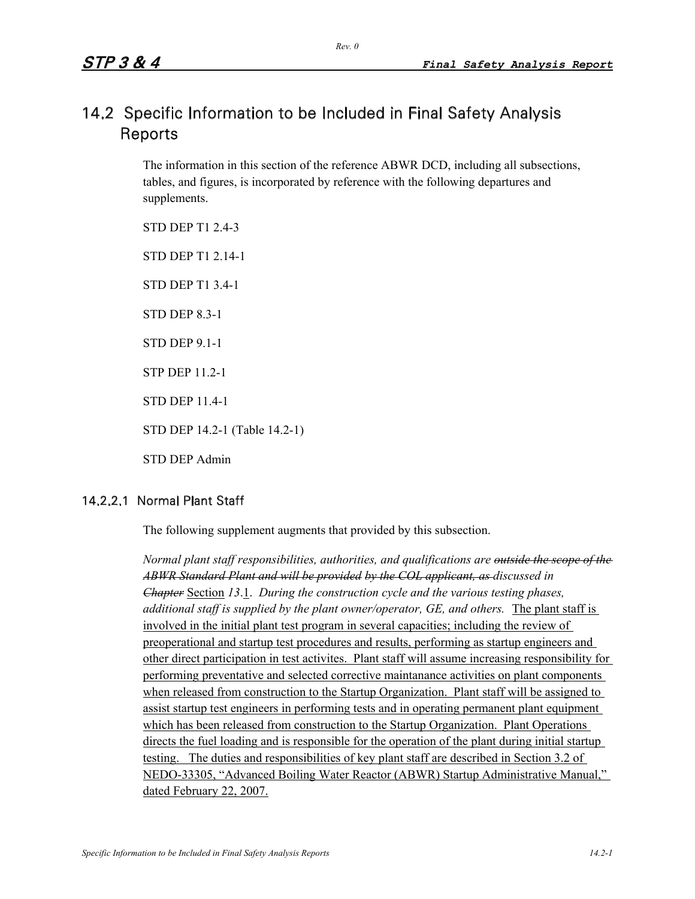# 14.2 Specific Information to be Included in Final Safety Analysis Reports

The information in this section of the reference ABWR DCD, including all subsections, tables, and figures, is incorporated by reference with the following departures and supplements.

STD DEP T1 2.4-3 STD DEP T1 2.14-1 STD DEP T1 3.4-1 STD DEP 8.3-1 STD DEP 9.1-1 STP DEP 11.2-1 STD DEP 11.4-1 STD DEP 14.2-1 (Table 14.2-1) STD DEP Admin

# 14.2.2.1 Normal Plant Staff

The following supplement augments that provided by this subsection.

*Normal plant staff responsibilities, authorities, and qualifications are outside the scope of the ABWR Standard Plant and will be provided by the COL applicant, as discussed in Chapter* Section *13*.1. *During the construction cycle and the various testing phases, additional staff is supplied by the plant owner/operator, GE, and others.* The plant staff is involved in the initial plant test program in several capacities; including the review of preoperational and startup test procedures and results, performing as startup engineers and other direct participation in test activites. Plant staff will assume increasing responsibility for performing preventative and selected corrective maintanance activities on plant components when released from construction to the Startup Organization. Plant staff will be assigned to assist startup test engineers in performing tests and in operating permanent plant equipment which has been released from construction to the Startup Organization. Plant Operations directs the fuel loading and is responsible for the operation of the plant during initial startup testing. The duties and responsibilities of key plant staff are described in Section 3.2 of NEDO-33305, "Advanced Boiling Water Reactor (ABWR) Startup Administrative Manual," dated February 22, 2007.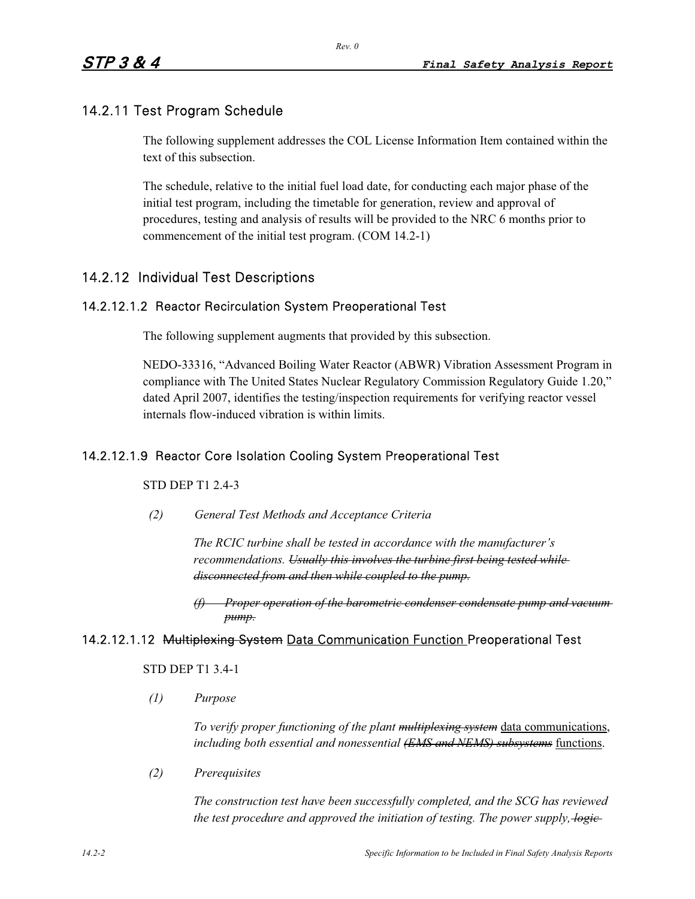# 14.2.11 Test Program Schedule

The following supplement addresses the COL License Information Item contained within the text of this subsection.

The schedule, relative to the initial fuel load date, for conducting each major phase of the initial test program, including the timetable for generation, review and approval of procedures, testing and analysis of results will be provided to the NRC 6 months prior to commencement of the initial test program. (COM 14.2-1)

# 14.2.12 Individual Test Descriptions

#### 14.2.12.1.2 Reactor Recirculation System Preoperational Test

The following supplement augments that provided by this subsection.

NEDO-33316, "Advanced Boiling Water Reactor (ABWR) Vibration Assessment Program in compliance with The United States Nuclear Regulatory Commission Regulatory Guide 1.20," dated April 2007, identifies the testing/inspection requirements for verifying reactor vessel internals flow-induced vibration is within limits.

# 14.2.12.1.9 Reactor Core Isolation Cooling System Preoperational Test

STD DEP T1 2.4-3

*(2) General Test Methods and Acceptance Criteria* 

*The RCIC turbine shall be tested in accordance with the manufacturer's recommendations. Usually this involves the turbine first being tested while disconnected from and then while coupled to the pump.*

*Proper operation of the barometric condenser condensate pump and vacuum pump.*

#### 14.2.12.1.12 Multiplexing System Data Communication Function Preoperational Test

#### STD DEP T1 3.4-1

*(1) Purpose*

*To verify proper functioning of the plant multiplexing system* data communications, *including both essential and nonessential (EMS and NEMS) subsystems* functions.

*(2) Prerequisites*

*The construction test have been successfully completed, and the SCG has reviewed the test procedure and approved the initiation of testing. The power supply, logic*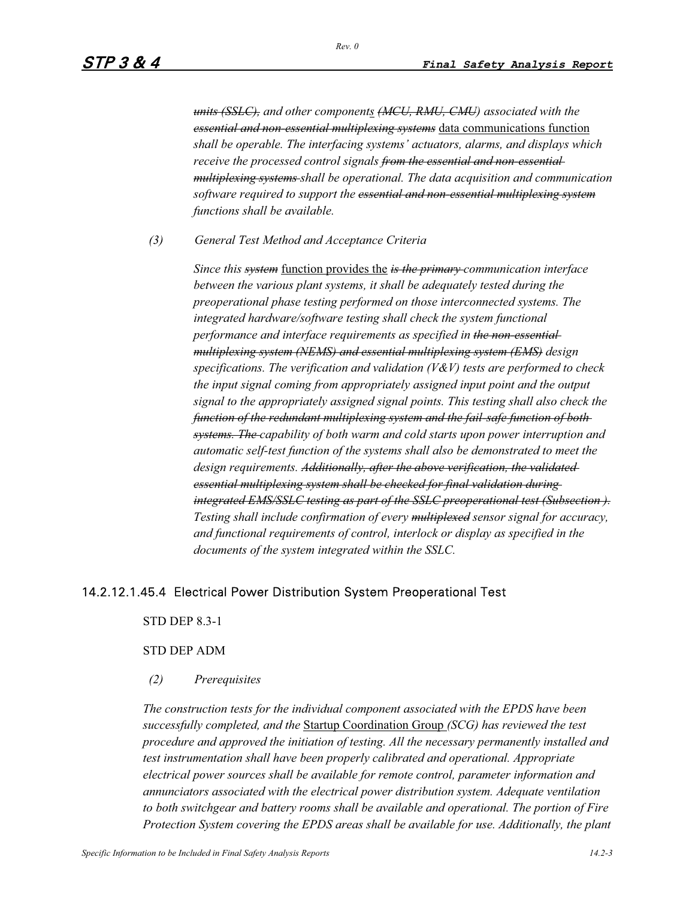*units (SSLC), and other components (MCU, RMU, CMU) associated with the essential and non-essential multiplexing systems* data communications function *shall be operable. The interfacing systems' actuators, alarms, and displays which receive the processed control signals from the essential and non-essential multiplexing systems shall be operational. The data acquisition and communication software required to support the essential and non-essential multiplexing system functions shall be available.*

*(3) General Test Method and Acceptance Criteria* 

*Since this system* function provides the *is the primary communication interface between the various plant systems, it shall be adequately tested during the preoperational phase testing performed on those interconnected systems. The integrated hardware/software testing shall check the system functional performance and interface requirements as specified in the non-essential multiplexing system (NEMS) and essential multiplexing system (EMS) design specifications. The verification and validation (V&V) tests are performed to check the input signal coming from appropriately assigned input point and the output signal to the appropriately assigned signal points. This testing shall also check the function of the redundant multiplexing system and the fail-safe function of both systems. The capability of both warm and cold starts upon power interruption and automatic self-test function of the systems shall also be demonstrated to meet the design requirements. Additionally, after the above verification, the validated essential multiplexing system shall be checked for final validation during integrated EMS/SSLC testing as part of the SSLC preoperational test (Subsection ). Testing shall include confirmation of every multiplexed sensor signal for accuracy, and functional requirements of control, interlock or display as specified in the documents of the system integrated within the SSLC.*

# 14.2.12.1.45.4 Electrical Power Distribution System Preoperational Test

STD DEP 8.3-1

#### STD DEP ADM

#### *(2) Prerequisites*

*The construction tests for the individual component associated with the EPDS have been successfully completed, and the* Startup Coordination Group *(SCG) has reviewed the test procedure and approved the initiation of testing. All the necessary permanently installed and test instrumentation shall have been properly calibrated and operational. Appropriate electrical power sources shall be available for remote control, parameter information and annunciators associated with the electrical power distribution system. Adequate ventilation to both switchgear and battery rooms shall be available and operational. The portion of Fire Protection System covering the EPDS areas shall be available for use. Additionally, the plant*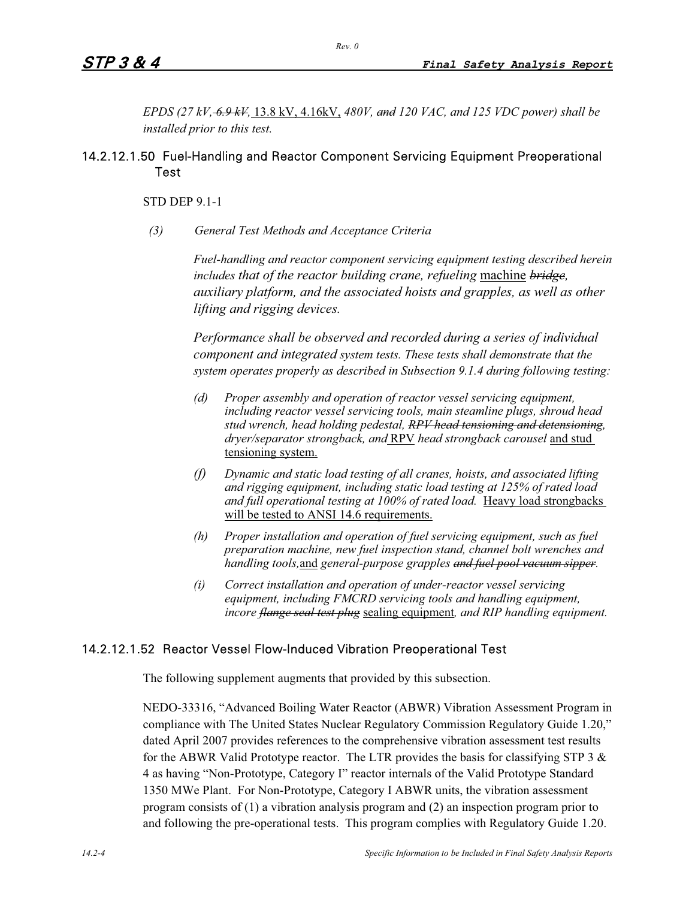*EPDS (27 kV, 6.9 kV,* 13.8 kV, 4.16kV, *480V, and 120 VAC, and 125 VDC power) shall be installed prior to this test.*

# 14.2.12.1.50 Fuel-Handling and Reactor Component Servicing Equipment Preoperational Test

STD DEP 9.1-1

*(3) General Test Methods and Acceptance Criteria* 

*Fuel-handling and reactor component servicing equipment testing described herein includes that of the reactor building crane, refueling* machine *bridge, auxiliary platform, and the associated hoists and grapples, as well as other lifting and rigging devices.*

*Performance shall be observed and recorded during a series of individual component and integrated system tests. These tests shall demonstrate that the system operates properly as described in Subsection 9.1.4 during following testing:* 

- *(d) Proper assembly and operation of reactor vessel servicing equipment, including reactor vessel servicing tools, main steamline plugs, shroud head stud wrench, head holding pedestal, RPV head tensioning and detensioning, dryer/separator strongback, and* RPV *head strongback carousel* and stud tensioning system.
- *(f) Dynamic and static load testing of all cranes, hoists, and associated lifting and rigging equipment, including static load testing at 125% of rated load and full operational testing at 100% of rated load.* Heavy load strongbacks will be tested to ANSI 14.6 requirements.
- *(h) Proper installation and operation of fuel servicing equipment, such as fuel preparation machine, new fuel inspection stand, channel bolt wrenches and handling tools,*and *general-purpose grapples and fuel pool vacuum sipper.*
- *(i) Correct installation and operation of under-reactor vessel servicing equipment, including FMCRD servicing tools and handling equipment, incore flange seal test plug* sealing equipment*, and RIP handling equipment.*

# 14.2.12.1.52 Reactor Vessel Flow-Induced Vibration Preoperational Test

The following supplement augments that provided by this subsection.

NEDO-33316, "Advanced Boiling Water Reactor (ABWR) Vibration Assessment Program in compliance with The United States Nuclear Regulatory Commission Regulatory Guide 1.20," dated April 2007 provides references to the comprehensive vibration assessment test results for the ABWR Valid Prototype reactor. The LTR provides the basis for classifying STP 3  $\&$ 4 as having "Non-Prototype, Category I" reactor internals of the Valid Prototype Standard 1350 MWe Plant. For Non-Prototype, Category I ABWR units, the vibration assessment program consists of (1) a vibration analysis program and (2) an inspection program prior to and following the pre-operational tests. This program complies with Regulatory Guide 1.20.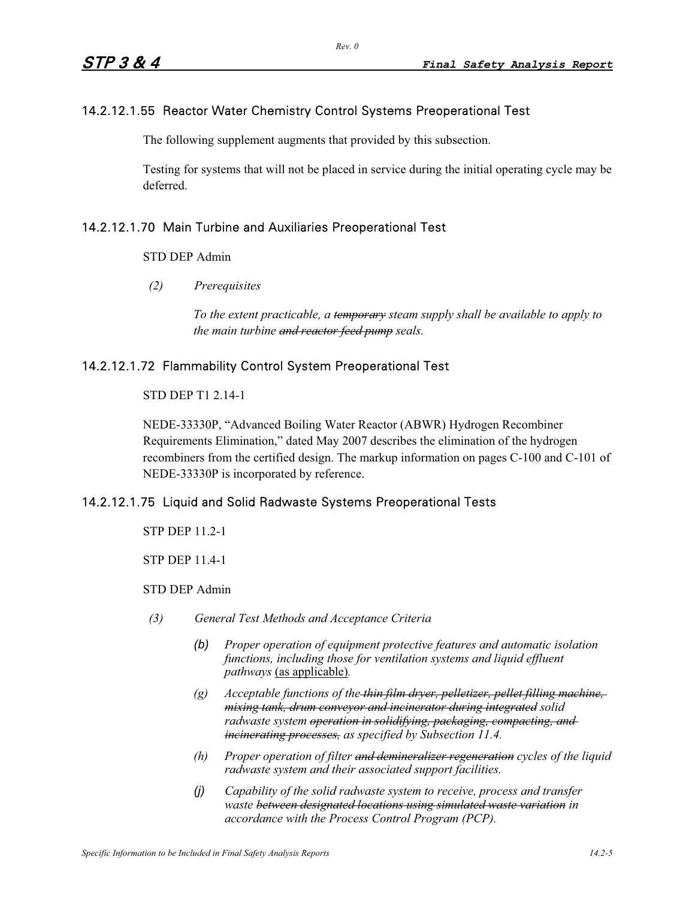# 14.2.12.1.55 Reactor Water Chemistry Control Systems Preoperational Test

The following supplement augments that provided by this subsection.

Testing for systems that will not be placed in service during the initial operating cycle may be deferred.

# 14.2.12.1.70 Main Turbine and Auxiliaries Preoperational Test

#### STD DEP Admin

*(2) Prerequisites*

*To the extent practicable, a temporary steam supply shall be available to apply to the main turbine and reactor feed pump seals.* 

#### 14.2.12.1.72 Flammability Control System Preoperational Test

## STD DEP T1 2.14-1

NEDE-33330P, "Advanced Boiling Water Reactor (ABWR) Hydrogen Recombiner Requirements Elimination," dated May 2007 describes the elimination of the hydrogen recombiners from the certified design. The markup information on pages C-100 and C-101 of NEDE-33330P is incorporated by reference.

#### 14.2.12.1.75 Liquid and Solid Radwaste Systems Preoperational Tests

STP DEP 11.2-1

STP DEP 11.4-1

#### STD DEP Admin

- *(3) General Test Methods and Acceptance Criteria* 
	- *(b) Proper operation of equipment protective features and automatic isolation functions, including those for ventilation systems and liquid effluent pathways* (as applicable)*.*
	- *(g) Acceptable functions of the thin film dryer, pelletizer, pellet filling machine, mixing tank, drum conveyor and incinerator during integrated solid radwaste system operation in solidifying, packaging, compacting, and incinerating processes, as specified by Subsection 11.4.*
	- *(h) Proper operation of filter and demineralizer regeneration cycles of the liquid radwaste system and their associated support facilities.*
	- *(j) Capability of the solid radwaste system to receive, process and transfer waste between designated locations using simulated waste variation in accordance with the Process Control Program (PCP).*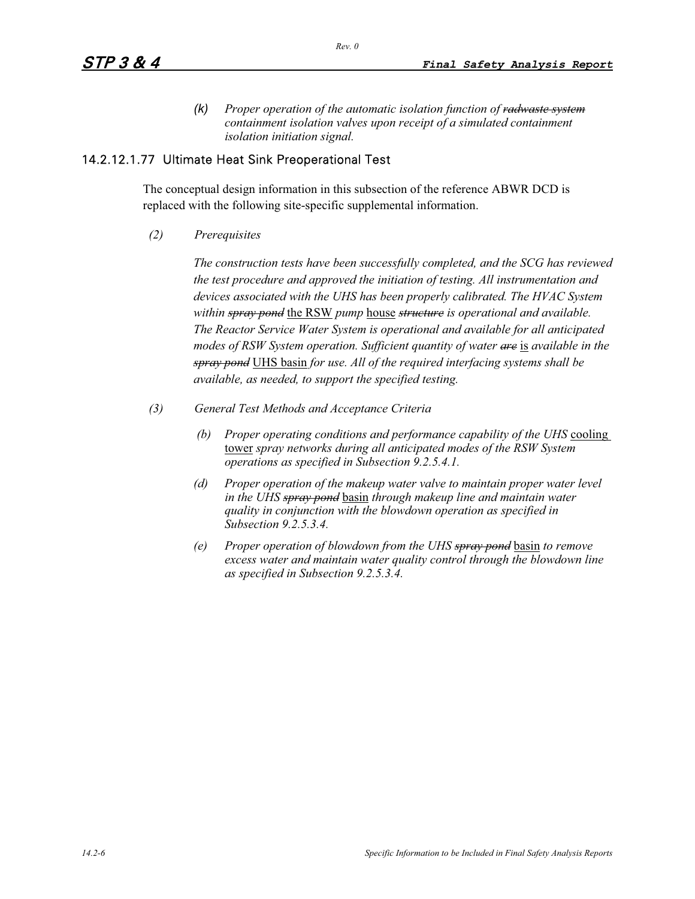*(k) Proper operation of the automatic isolation function of radwaste system containment isolation valves upon receipt of a simulated containment isolation initiation signal.* 

#### 14.2.12.1.77 Ultimate Heat Sink Preoperational Test

The conceptual design information in this subsection of the reference ABWR DCD is replaced with the following site-specific supplemental information.

*(2) Prerequisites*

*The construction tests have been successfully completed, and the SCG has reviewed the test procedure and approved the initiation of testing. All instrumentation and devices associated with the UHS has been properly calibrated. The HVAC System within spray pond* the RSW *pump* house *structure is operational and available. The Reactor Service Water System is operational and available for all anticipated modes of RSW System operation. Sufficient quantity of water are* is *available in the spray pond* UHS basin *for use. All of the required interfacing systems shall be available, as needed, to support the specified testing.* 

- *(3) General Test Methods and Acceptance Criteria* 
	- *(b) Proper operating conditions and performance capability of the UHS* cooling tower *spray networks during all anticipated modes of the RSW System operations as specified in Subsection 9.2.5.4.1.*
	- *(d) Proper operation of the makeup water valve to maintain proper water level in the UHS spray pond* basin *through makeup line and maintain water quality in conjunction with the blowdown operation as specified in Subsection 9.2.5.3.4.*
	- *(e) Proper operation of blowdown from the UHS spray pond* basin *to remove excess water and maintain water quality control through the blowdown line as specified in Subsection 9.2.5.3.4.*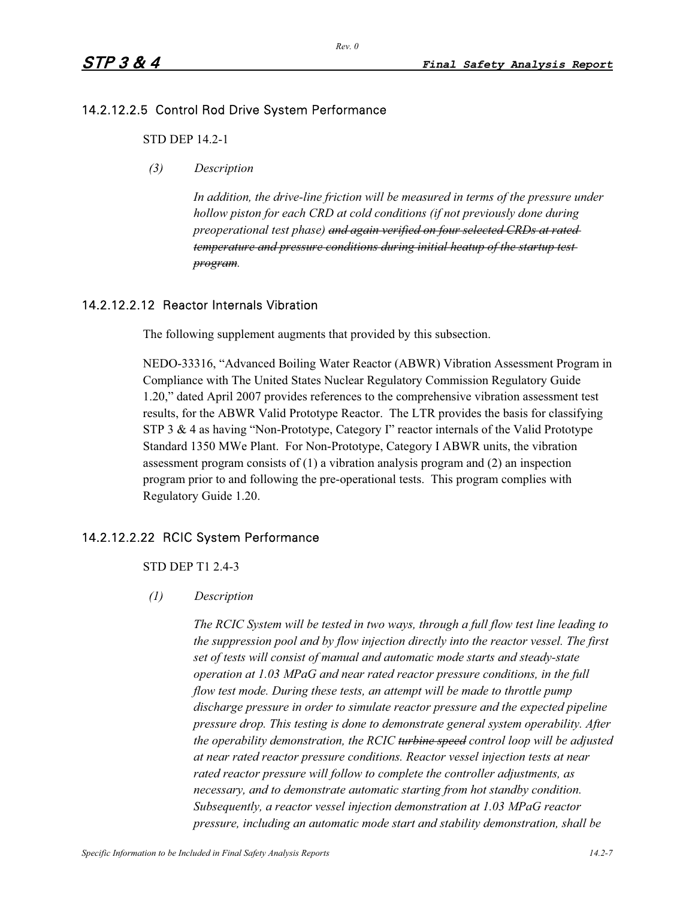# 14.2.12.2.5 Control Rod Drive System Performance

#### STD DEP 14.2-1

*(3) Description*

In addition, the drive-line friction will be measured in terms of the pressure under *hollow piston for each CRD at cold conditions (if not previously done during preoperational test phase) and again verified on four selected CRDs at rated temperature and pressure conditions during initial heatup of the startup test program.*

#### 14.2.12.2.12 Reactor Internals Vibration

The following supplement augments that provided by this subsection.

NEDO-33316, "Advanced Boiling Water Reactor (ABWR) Vibration Assessment Program in Compliance with The United States Nuclear Regulatory Commission Regulatory Guide 1.20," dated April 2007 provides references to the comprehensive vibration assessment test results, for the ABWR Valid Prototype Reactor. The LTR provides the basis for classifying STP 3 & 4 as having "Non-Prototype, Category I" reactor internals of the Valid Prototype Standard 1350 MWe Plant. For Non-Prototype, Category I ABWR units, the vibration assessment program consists of (1) a vibration analysis program and (2) an inspection program prior to and following the pre-operational tests. This program complies with Regulatory Guide 1.20.

# 14.2.12.2.22 RCIC System Performance

STD DEP T1 2.4-3

#### *(1) Description*

*The RCIC System will be tested in two ways, through a full flow test line leading to the suppression pool and by flow injection directly into the reactor vessel. The first set of tests will consist of manual and automatic mode starts and steady-state operation at 1.03 MPaG and near rated reactor pressure conditions, in the full flow test mode. During these tests, an attempt will be made to throttle pump discharge pressure in order to simulate reactor pressure and the expected pipeline pressure drop. This testing is done to demonstrate general system operability. After the operability demonstration, the RCIC turbine speed control loop will be adjusted at near rated reactor pressure conditions. Reactor vessel injection tests at near rated reactor pressure will follow to complete the controller adjustments, as necessary, and to demonstrate automatic starting from hot standby condition. Subsequently, a reactor vessel injection demonstration at 1.03 MPaG reactor pressure, including an automatic mode start and stability demonstration, shall be*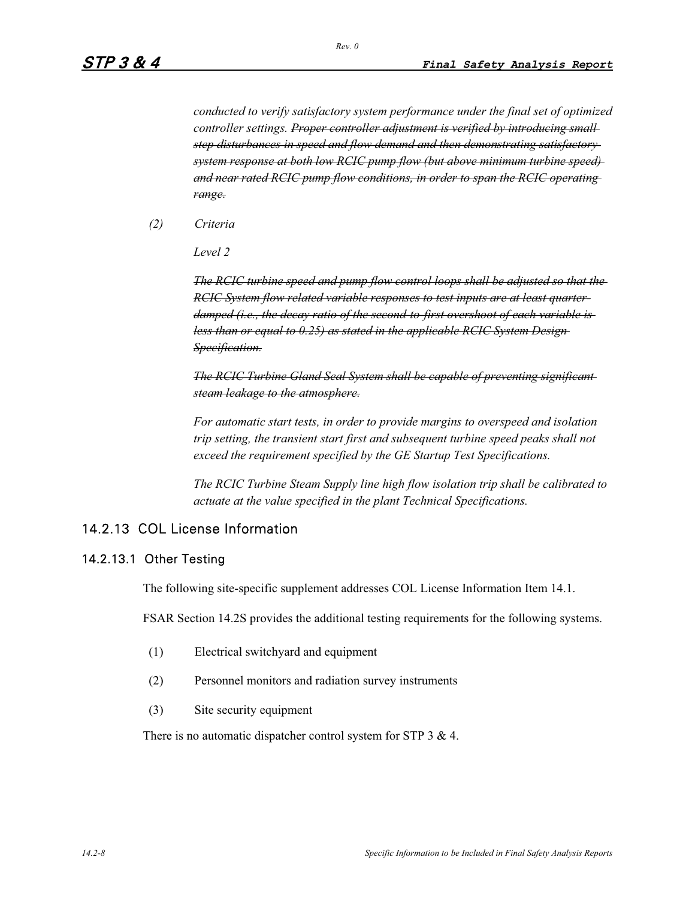*conducted to verify satisfactory system performance under the final set of optimized controller settings. Proper controller adjustment is verified by introducing small step disturbances in speed and flow demand and then demonstrating satisfactory system response at both low RCIC pump flow (but above minimum turbine speed) and near rated RCIC pump flow conditions, in order to span the RCIC operating range.*

*(2) Criteria*

*Level 2*

*The RCIC turbine speed and pump flow control loops shall be adjusted so that the RCIC System flow related variable responses to test inputs are at least quarterdamped (i.e., the decay ratio of the second-to-first overshoot of each variable is less than or equal to 0.25) as stated in the applicable RCIC System Design-Specification.*

*The RCIC Turbine Gland Seal System shall be capable of preventing significant steam leakage to the atmosphere.*

*For automatic start tests, in order to provide margins to overspeed and isolation trip setting, the transient start first and subsequent turbine speed peaks shall not exceed the requirement specified by the GE Startup Test Specifications.* 

*The RCIC Turbine Steam Supply line high flow isolation trip shall be calibrated to actuate at the value specified in the plant Technical Specifications.* 

# 14.2.13 COL License Information

#### 14.2.13.1 Other Testing

The following site-specific supplement addresses COL License Information Item 14.1.

FSAR Section 14.2S provides the additional testing requirements for the following systems.

- (1) Electrical switchyard and equipment
- (2) Personnel monitors and radiation survey instruments
- (3) Site security equipment

There is no automatic dispatcher control system for STP 3 & 4.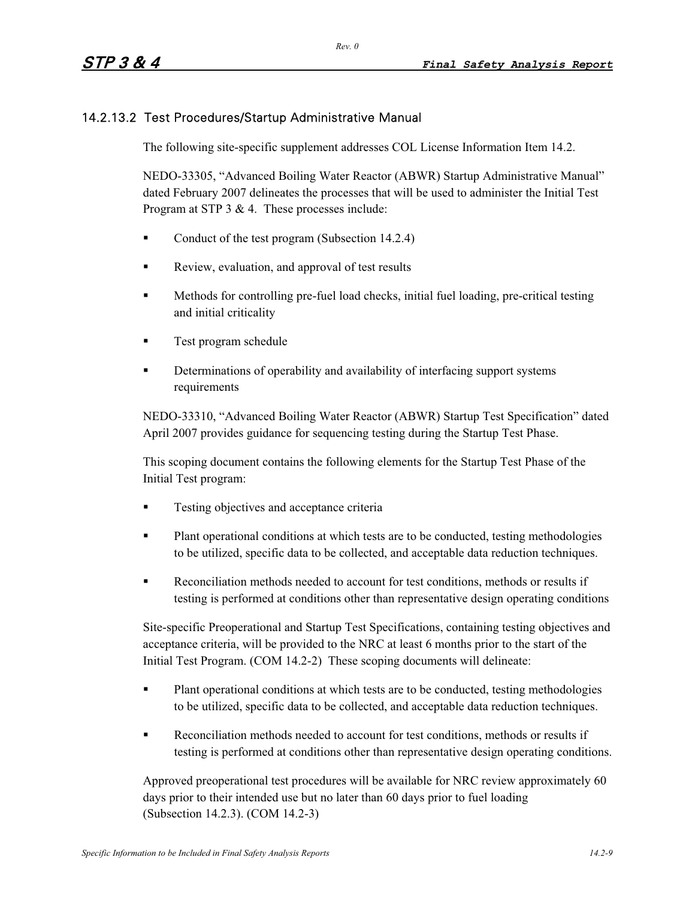# 14.2.13.2 Test Procedures/Startup Administrative Manual

The following site-specific supplement addresses COL License Information Item 14.2.

NEDO-33305, "Advanced Boiling Water Reactor (ABWR) Startup Administrative Manual" dated February 2007 delineates the processes that will be used to administer the Initial Test Program at STP 3 & 4. These processes include:

- -Conduct of the test program (Subsection 14.2.4)
- -Review, evaluation, and approval of test results
- - Methods for controlling pre-fuel load checks, initial fuel loading, pre-critical testing and initial criticality
- -Test program schedule
- - Determinations of operability and availability of interfacing support systems requirements

NEDO-33310, "Advanced Boiling Water Reactor (ABWR) Startup Test Specification" dated April 2007 provides guidance for sequencing testing during the Startup Test Phase.

This scoping document contains the following elements for the Startup Test Phase of the Initial Test program:

- -Testing objectives and acceptance criteria
- - Plant operational conditions at which tests are to be conducted, testing methodologies to be utilized, specific data to be collected, and acceptable data reduction techniques.
- - Reconciliation methods needed to account for test conditions, methods or results if testing is performed at conditions other than representative design operating conditions

Site-specific Preoperational and Startup Test Specifications, containing testing objectives and acceptance criteria, will be provided to the NRC at least 6 months prior to the start of the Initial Test Program. (COM 14.2-2) These scoping documents will delineate:

- - Plant operational conditions at which tests are to be conducted, testing methodologies to be utilized, specific data to be collected, and acceptable data reduction techniques.
- - Reconciliation methods needed to account for test conditions, methods or results if testing is performed at conditions other than representative design operating conditions.

Approved preoperational test procedures will be available for NRC review approximately 60 days prior to their intended use but no later than 60 days prior to fuel loading (Subsection 14.2.3). (COM 14.2-3)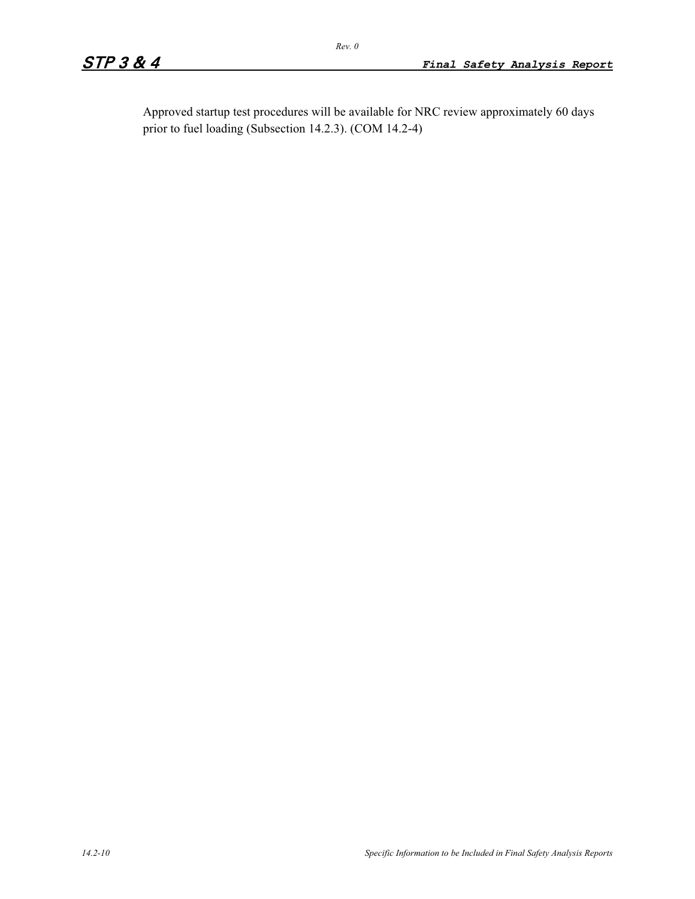Approved startup test procedures will be available for NRC review approximately 60 days prior to fuel loading (Subsection 14.2.3). (COM 14.2-4)